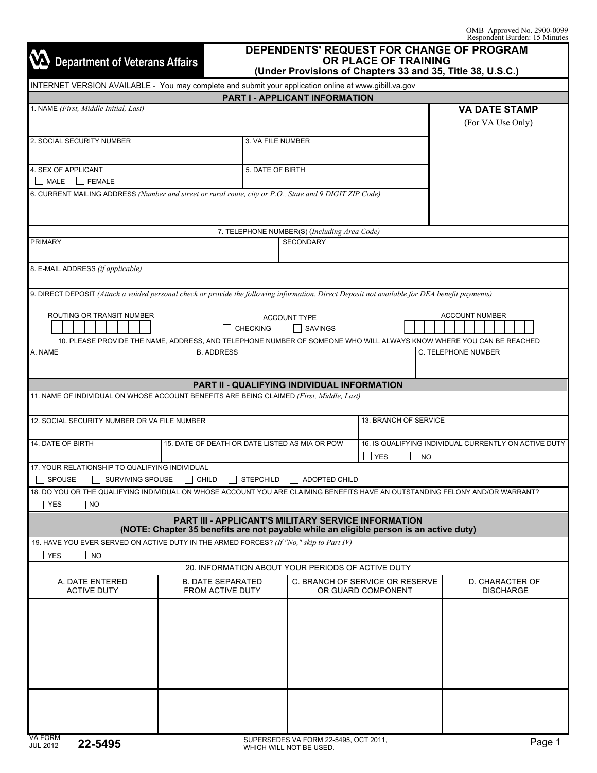| <b>Department of Veterans Affairs</b>                                                                                                                    |                                                                                                                                                      | (Under Provisions of Chapters 33 and 35, Title 38, U.S.C.) | OR PLACE OF TRAINING            | DEPENDENTS' REQUEST FOR CHANGE OF PROGRAM             |  |
|----------------------------------------------------------------------------------------------------------------------------------------------------------|------------------------------------------------------------------------------------------------------------------------------------------------------|------------------------------------------------------------|---------------------------------|-------------------------------------------------------|--|
| INTERNET VERSION AVAILABLE - You may complete and submit your application online at www.gibill.va.gov                                                    |                                                                                                                                                      |                                                            |                                 |                                                       |  |
|                                                                                                                                                          |                                                                                                                                                      | <b>PART I - APPLICANT INFORMATION</b>                      |                                 |                                                       |  |
| 1. NAME (First, Middle Initial, Last)                                                                                                                    |                                                                                                                                                      |                                                            |                                 | <b>VA DATE STAMP</b><br>(For VA Use Only)             |  |
| 2. SOCIAL SECURITY NUMBER                                                                                                                                |                                                                                                                                                      | 3. VA FILE NUMBER                                          |                                 |                                                       |  |
| 4. SEX OF APPLICANT<br>MALE FEMALE                                                                                                                       |                                                                                                                                                      | 5. DATE OF BIRTH                                           |                                 |                                                       |  |
| 6. CURRENT MAILING ADDRESS (Number and street or rural route, city or P.O., State and 9 DIGIT ZIP Code)                                                  |                                                                                                                                                      |                                                            |                                 |                                                       |  |
|                                                                                                                                                          |                                                                                                                                                      | 7. TELEPHONE NUMBER(S) (Including Area Code)               |                                 |                                                       |  |
| <b>PRIMARY</b>                                                                                                                                           |                                                                                                                                                      | <b>SECONDARY</b>                                           |                                 |                                                       |  |
|                                                                                                                                                          |                                                                                                                                                      |                                                            |                                 |                                                       |  |
| 8. E-MAIL ADDRESS (if applicable)                                                                                                                        |                                                                                                                                                      |                                                            |                                 |                                                       |  |
| 9. DIRECT DEPOSIT (Attach a voided personal check or provide the following information. Direct Deposit not available for DEA benefit payments)           |                                                                                                                                                      |                                                            |                                 |                                                       |  |
| ROUTING OR TRANSIT NUMBER                                                                                                                                | <b>CHECKING</b>                                                                                                                                      | <b>ACCOUNT TYPE</b><br><b>SAVINGS</b>                      |                                 | <b>ACCOUNT NUMBER</b>                                 |  |
|                                                                                                                                                          | 10. PLEASE PROVIDE THE NAME, ADDRESS, AND TELEPHONE NUMBER OF SOMEONE WHO WILL ALWAYS KNOW WHERE YOU CAN BE REACHED                                  |                                                            |                                 |                                                       |  |
| A. NAME                                                                                                                                                  | <b>B. ADDRESS</b>                                                                                                                                    |                                                            |                                 | C. TELEPHONE NUMBER                                   |  |
|                                                                                                                                                          |                                                                                                                                                      | PART II - QUALIFYING INDIVIDUAL INFORMATION                |                                 |                                                       |  |
| 11. NAME OF INDIVIDUAL ON WHOSE ACCOUNT BENEFITS ARE BEING CLAIMED (First, Middle, Last)                                                                 |                                                                                                                                                      |                                                            |                                 |                                                       |  |
| 12. SOCIAL SECURITY NUMBER OR VA FILE NUMBER                                                                                                             |                                                                                                                                                      |                                                            | 13. BRANCH OF SERVICE           |                                                       |  |
| 14. DATE OF BIRTH                                                                                                                                        | 15. DATE OF DEATH OR DATE LISTED AS MIA OR POW                                                                                                       |                                                            | $\Box$ NO<br>$\perp$ YES        | 16. IS QUALIFYING INDIVIDUAL CURRENTLY ON ACTIVE DUTY |  |
| 17. YOUR RELATIONSHIP TO QUALIFYING INDIVIDUAL<br>SPOUSE<br>SURVIVING SPOUSE                                                                             | CHILD<br><b>STEPCHILD</b>                                                                                                                            | <b>ADOPTED CHILD</b>                                       |                                 |                                                       |  |
| 18. DO YOU OR THE QUALIFYING INDIVIDUAL ON WHOSE ACCOUNT YOU ARE CLAIMING BENEFITS HAVE AN OUTSTANDING FELONY AND/OR WARRANT?<br><b>YES</b><br>$\Box$ No |                                                                                                                                                      |                                                            |                                 |                                                       |  |
|                                                                                                                                                          | <b>PART III - APPLICANT'S MILITARY SERVICE INFORMATION</b><br>(NOTE: Chapter 35 benefits are not payable while an eligible person is an active duty) |                                                            |                                 |                                                       |  |
| 19. HAVE YOU EVER SERVED ON ACTIVE DUTY IN THE ARMED FORCES? (If "No," skip to Part IV)                                                                  |                                                                                                                                                      |                                                            |                                 |                                                       |  |
| <b>YES</b><br>$\mathsf{L}$<br><b>NO</b>                                                                                                                  | 20. INFORMATION ABOUT YOUR PERIODS OF ACTIVE DUTY                                                                                                    |                                                            |                                 |                                                       |  |
| A. DATE ENTERED                                                                                                                                          | <b>B. DATE SEPARATED</b>                                                                                                                             |                                                            | C. BRANCH OF SERVICE OR RESERVE |                                                       |  |
| <b>ACTIVE DUTY</b>                                                                                                                                       | FROM ACTIVE DUTY                                                                                                                                     |                                                            | OR GUARD COMPONENT              | D. CHARACTER OF<br><b>DISCHARGE</b>                   |  |
|                                                                                                                                                          |                                                                                                                                                      |                                                            |                                 |                                                       |  |
|                                                                                                                                                          |                                                                                                                                                      |                                                            |                                 |                                                       |  |
|                                                                                                                                                          |                                                                                                                                                      |                                                            |                                 |                                                       |  |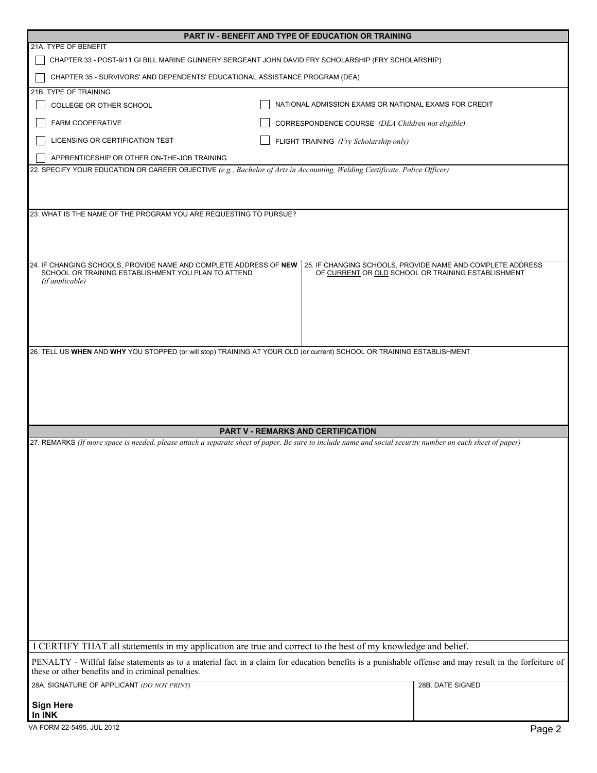| PART IV - BENEFIT AND TYPE OF EDUCATION OR TRAINING                                                                                                                                                          |                                                       |                                                                                                                  |  |  |  |  |  |
|--------------------------------------------------------------------------------------------------------------------------------------------------------------------------------------------------------------|-------------------------------------------------------|------------------------------------------------------------------------------------------------------------------|--|--|--|--|--|
| 21A. TYPE OF BENEFIT                                                                                                                                                                                         |                                                       |                                                                                                                  |  |  |  |  |  |
| CHAPTER 33 - POST-9/11 GI BILL MARINE GUNNERY SERGEANT JOHN DAVID FRY SCHOLARSHIP (FRY SCHOLARSHIP)                                                                                                          |                                                       |                                                                                                                  |  |  |  |  |  |
| CHAPTER 35 - SURVIVORS' AND DEPENDENTS' EDUCATIONAL ASSISTANCE PROGRAM (DEA)                                                                                                                                 |                                                       |                                                                                                                  |  |  |  |  |  |
| 21B. TYPE OF TRAINING                                                                                                                                                                                        |                                                       |                                                                                                                  |  |  |  |  |  |
| COLLEGE OR OTHER SCHOOL                                                                                                                                                                                      | NATIONAL ADMISSION EXAMS OR NATIONAL EXAMS FOR CREDIT |                                                                                                                  |  |  |  |  |  |
| FARM COOPERATIVE                                                                                                                                                                                             | CORRESPONDENCE COURSE (DEA Children not eligible)     |                                                                                                                  |  |  |  |  |  |
| LICENSING OR CERTIFICATION TEST                                                                                                                                                                              | FLIGHT TRAINING (Fry Scholarship only)                |                                                                                                                  |  |  |  |  |  |
| APPRENTICESHIP OR OTHER ON-THE-JOB TRAINING<br>22. SPECIFY YOUR EDUCATION OR CAREER OBJECTIVE (e.g., Bachelor of Arts in Accounting, Welding Certificate, Police Officer)                                    |                                                       |                                                                                                                  |  |  |  |  |  |
|                                                                                                                                                                                                              |                                                       |                                                                                                                  |  |  |  |  |  |
| 23. WHAT IS THE NAME OF THE PROGRAM YOU ARE REQUESTING TO PURSUE?                                                                                                                                            |                                                       |                                                                                                                  |  |  |  |  |  |
| 24. IF CHANGING SCHOOLS, PROVIDE NAME AND COMPLETE ADDRESS OF NEW<br>SCHOOL OR TRAINING ESTABLISHMENT YOU PLAN TO ATTEND<br>(if annlicable)                                                                  |                                                       | 25. IF CHANGING SCHOOLS, PROVIDE NAME AND COMPLETE ADDRESS<br>OF CURRENT OR OLD SCHOOL OR TRAINING ESTABLISHMENT |  |  |  |  |  |
|                                                                                                                                                                                                              |                                                       |                                                                                                                  |  |  |  |  |  |
|                                                                                                                                                                                                              | <b>PART V - REMARKS AND CERTIFICATION</b>             |                                                                                                                  |  |  |  |  |  |
| 27. REMARKS (If more space is needed, please attach a separate sheet of paper. Be sure to include name and social security number on each sheet of paper)                                                    |                                                       |                                                                                                                  |  |  |  |  |  |
| I CERTIFY THAT all statements in my application are true and correct to the best of my knowledge and belief.                                                                                                 |                                                       |                                                                                                                  |  |  |  |  |  |
| PENALTY - Willful false statements as to a material fact in a claim for education benefits is a punishable offense and may result in the forfeiture of<br>these or other benefits and in criminal penalties. |                                                       |                                                                                                                  |  |  |  |  |  |
| 28A. SIGNATURE OF APPLICANT (DO NOT PRINT)                                                                                                                                                                   |                                                       | 28B. DATE SIGNED                                                                                                 |  |  |  |  |  |
| <b>Sign Here</b><br>In INK                                                                                                                                                                                   |                                                       |                                                                                                                  |  |  |  |  |  |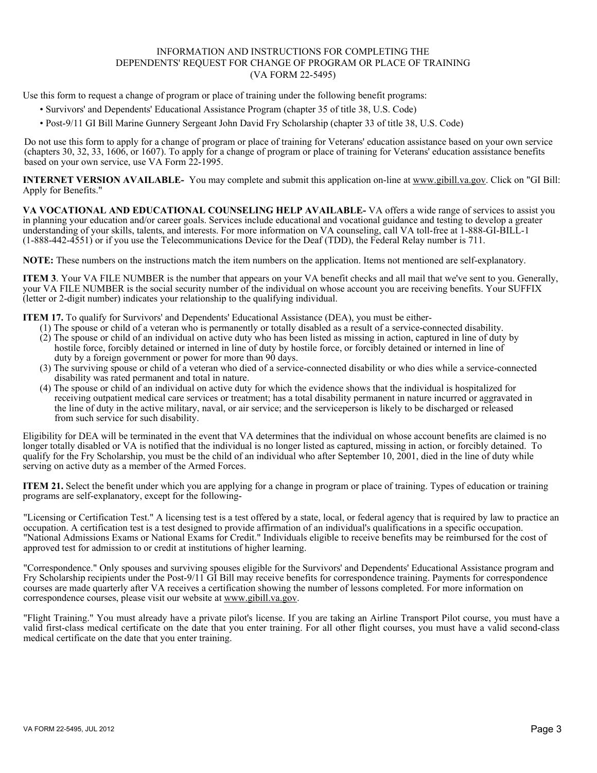# INFORMATION AND INSTRUCTIONS FOR COMPLETING THE DEPENDENTS' REQUEST FOR CHANGE OF PROGRAM OR PLACE OF TRAINING (VA FORM 22-5495)

Use this form to request a change of program or place of training under the following benefit programs:

- Survivors' and Dependents' Educational Assistance Program (chapter 35 of title 38, U.S. Code)
- Post-9/11 GI Bill Marine Gunnery Sergeant John David Fry Scholarship (chapter 33 of title 38, U.S. Code)

Do not use this form to apply for a change of program or place of training for Veterans' education assistance based on your own service (chapters 30, 32, 33, 1606, or 1607). To apply for a change of program or place of training for Veterans' education assistance benefits based on your own service, use VA Form 22-1995.

**INTERNET VERSION AVAILABLE-** You may complete and submit this application on-line at www.gibill.va.gov. Click on "GI Bill: Apply for Benefits."

**VA VOCATIONAL AND EDUCATIONAL COUNSELING HELP AVAILABLE-** VA offers a wide range of services to assist you in planning your education and/or career goals. Services include educational and vocational guidance and testing to develop a greater understanding of your skills, talents, and interests. For more information on VA counseling, call VA toll-free at 1-888-GI-BILL-1 (1-888-442-4551) or if you use the Telecommunications Device for the Deaf (TDD), the Federal Relay number is 711.

**NOTE:** These numbers on the instructions match the item numbers on the application. Items not mentioned are self-explanatory.

**ITEM 3**. Your VA FILE NUMBER is the number that appears on your VA benefit checks and all mail that we've sent to you. Generally, your VA FILE NUMBER is the social security number of the individual on whose account you are receiving benefits. Your SUFFIX (letter or 2-digit number) indicates your relationship to the qualifying individual.

**ITEM 17.** To qualify for Survivors' and Dependents' Educational Assistance (DEA), you must be either-

- (1) The spouse or child of a veteran who is permanently or totally disabled as a result of a service-connected disability.
- (2) The spouse or child of an individual on active duty who has been listed as missing in action, captured in line of duty by hostile force, forcibly detained or interned in line of duty by hostile force, or forcibly detained or interned in line of duty by a foreign government or power for more than 90 days.
- (3) The surviving spouse or child of a veteran who died of a service-connected disability or who dies while a service-connected disability was rated permanent and total in nature.
- (4) The spouse or child of an individual on active duty for which the evidence shows that the individual is hospitalized for receiving outpatient medical care services or treatment; has a total disability permanent in nature incurred or aggravated in the line of duty in the active military, naval, or air service; and the serviceperson is likely to be discharged or released from such service for such disability.

Eligibility for DEA will be terminated in the event that VA determines that the individual on whose account benefits are claimed is no longer totally disabled or VA is notified that the individual is no longer listed as captured, missing in action, or forcibly detained. To qualify for the Fry Scholarship, you must be the child of an individual who after September 10, 2001, died in the line of duty while serving on active duty as a member of the Armed Forces.

**ITEM 21.** Select the benefit under which you are applying for a change in program or place of training. Types of education or training programs are self-explanatory, except for the following-

"Licensing or Certification Test." A licensing test is a test offered by a state, local, or federal agency that is required by law to practice an occupation. A certification test is a test designed to provide affirmation of an individual's qualifications in a specific occupation. "National Admissions Exams or National Exams for Credit." Individuals eligible to receive benefits may be reimbursed for the cost of approved test for admission to or credit at institutions of higher learning.

"Correspondence." Only spouses and surviving spouses eligible for the Survivors' and Dependents' Educational Assistance program and Fry Scholarship recipients under the Post-9/11 GI Bill may receive benefits for correspondence training. Payments for correspondence courses are made quarterly after VA receives a certification showing the number of lessons completed. For more information on correspondence courses, please visit our website at www.gibill.va.gov.

"Flight Training." You must already have a private pilot's license. If you are taking an Airline Transport Pilot course, you must have a valid first-class medical certificate on the date that you enter training. For all other flight courses, you must have a valid second-class medical certificate on the date that you enter training.